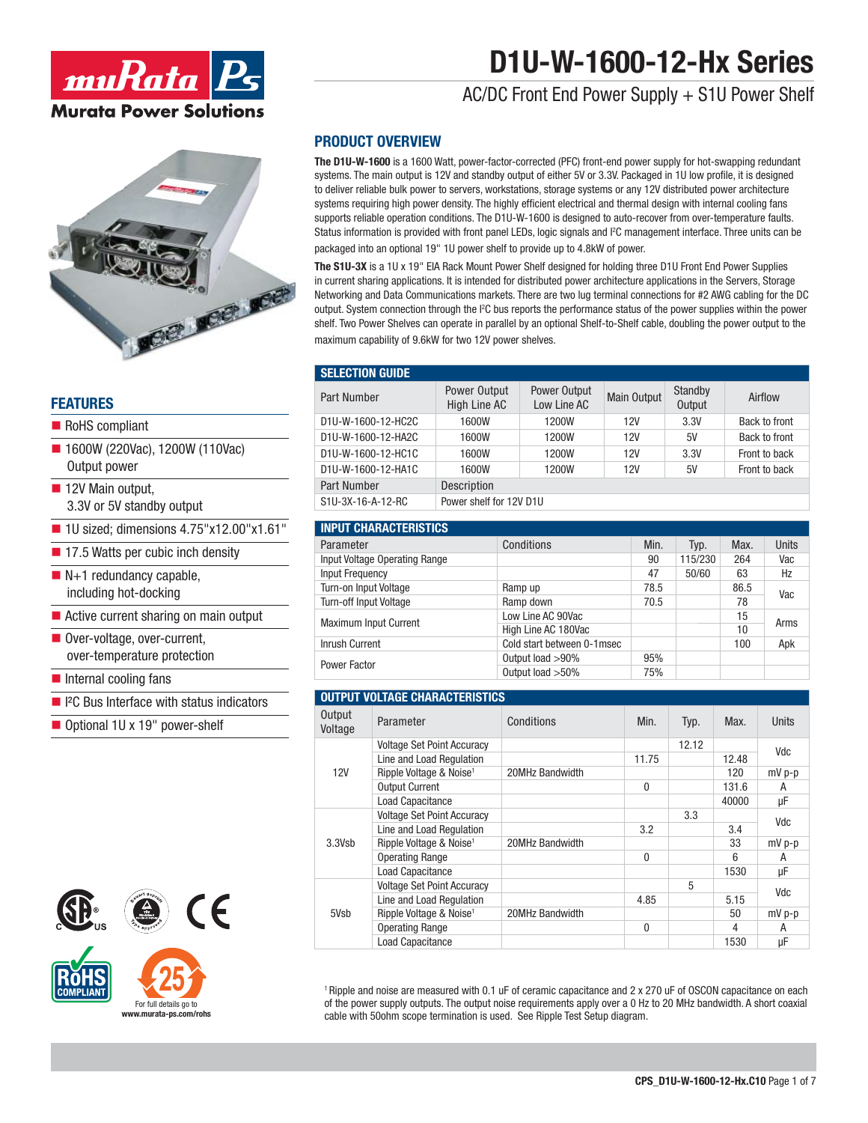

# Ge roe roe

### **FEATURES**

- RoHS compliant
- 1600W (220Vac), 1200W (110Vac) Output power
- 12V Main output, 3.3V or 5V standby output
- $\blacksquare$  1U sized; dimensions 4.75"x12.00"x1.61"
- 17.5 Watts per cubic inch density
- $N+1$  redundancy capable, including hot-docking
- Active current sharing on main output
- Over-voltage, over-current, over-temperature protection
- $\blacksquare$  Internal cooling fans
- <sup>2</sup>C Bus Interface with status indicators
- Optional 1U x 19" power-shelf





For full details go to **www.murata-ps.com/rohs**

### **PRODUCT OVERVIEW**

**The D1U-W-1600** is a 1600 Watt, power-factor-corrected (PFC) front-end power supply for hot-swapping redundant systems. The main output is 12V and standby output of either 5V or 3.3V. Packaged in 1U low profile, it is designed to deliver reliable bulk power to servers, workstations, storage systems or any 12V distributed power architecture systems requiring high power density. The highly efficient electrical and thermal design with internal cooling fans supports reliable operation conditions. The D1U-W-1600 is designed to auto-recover from over-temperature faults. Status information is provided with front panel LEDs, logic signals and I2 C management interface. Three units can be packaged into an optional 19" 1U power shelf to provide up to 4.8kW of power.

**The S1U-3X** is a 1U x 19" EIA Rack Mount Power Shelf designed for holding three D1U Front End Power Supplies in current sharing applications. It is intended for distributed power architecture applications in the Servers, Storage Networking and Data Communications markets. There are two lug terminal connections for #2 AWG cabling for the DC output. System connection through the I2 C bus reports the performance status of the power supplies within the power shelf. Two Power Shelves can operate in parallel by an optional Shelf-to-Shelf cable, doubling the power output to the maximum capability of 9.6kW for two 12V power shelves.

### **SELECTION GUIDE**

| Part Number        | Power Output<br>High Line AC | Power Output<br>Low Line AC | <b>Main Output</b> | Standby<br>Output | Airflow       |
|--------------------|------------------------------|-----------------------------|--------------------|-------------------|---------------|
| D1U-W-1600-12-HC2C | 1600W                        | 1200W                       | 12V                | 3.3V              | Back to front |
| D1U-W-1600-12-HA2C | 1600W                        | 1200W                       | 12V                | 5V                | Back to front |
| D1U-W-1600-12-HC1C | 1600W                        | 1200W                       | 12V                | 3.3V              | Front to back |
| D1U-W-1600-12-HA1C | 1600W                        | 1200W                       | 12V                | 5V                | Front to back |
| Part Number        | Description                  |                             |                    |                   |               |
| S1U-3X-16-A-12-RC  | Power shelf for 12V D1U      |                             |                    |                   |               |

| <b>INPUT CHARACTERISTICS</b>  |                            |      |         |      |              |  |
|-------------------------------|----------------------------|------|---------|------|--------------|--|
| Parameter                     | Conditions                 | Min. | Typ.    | Max. | <b>Units</b> |  |
| Input Voltage Operating Range |                            | 90   | 115/230 | 264  | Vac          |  |
| <b>Input Frequency</b>        |                            | 47   | 50/60   | 63   | Hz           |  |
| Turn-on Input Voltage         | Ramp up                    | 78.5 |         | 86.5 | Vac          |  |
| <b>Turn-off Input Voltage</b> | Ramp down                  | 70.5 |         | 78   |              |  |
| <b>Maximum Input Current</b>  | Low Line AC 90Vac          |      |         | 15   | Arms         |  |
|                               | High Line AC 180Vac        |      |         | 10   |              |  |
| <b>Inrush Current</b>         | Cold start between 0-1msec |      |         | 100  | Apk          |  |
| Power Factor                  | Output load >90%           | 95%  |         |      |              |  |
|                               | Output load > 50%          | 75%  |         |      |              |  |

### **OUTPUT VOLTAGE CHARACTERISTICS**

| Output<br>Voltage | Parameter                           | Conditions      | Min.         | Typ.  | Max.  | <b>Units</b> |
|-------------------|-------------------------------------|-----------------|--------------|-------|-------|--------------|
|                   | <b>Voltage Set Point Accuracy</b>   |                 |              | 12.12 |       | Vdc          |
|                   | Line and Load Regulation            |                 | 11.75        |       | 12.48 |              |
| <b>12V</b>        | Ripple Voltage & Noise <sup>1</sup> | 20MHz Bandwidth |              |       | 120   | $mV$ p-p     |
|                   | <b>Output Current</b>               |                 | $\theta$     |       | 131.6 | A            |
|                   | <b>Load Capacitance</b>             |                 |              |       | 40000 | μF           |
|                   | <b>Voltage Set Point Accuracy</b>   |                 |              | 3.3   |       | Vdc          |
|                   | Line and Load Regulation            |                 | 3.2          |       | 3.4   |              |
| 3.3Vsb            | Ripple Voltage & Noise <sup>1</sup> | 20MHz Bandwidth |              |       | 33    | mV p-p       |
|                   | <b>Operating Range</b>              |                 | $\mathbf{0}$ |       | 6     | А            |
|                   | <b>Load Capacitance</b>             |                 |              |       | 1530  | μF           |
|                   | <b>Voltage Set Point Accuracy</b>   |                 |              | 5     |       | Vdc          |
|                   | Line and Load Regulation            |                 | 4.85         |       | 5.15  |              |
| 5Vsb              | Ripple Voltage & Noise <sup>1</sup> | 20MHz Bandwidth |              |       | 50    | $mV$ p-p     |
|                   | <b>Operating Range</b>              |                 | 0            |       | 4     | A            |
|                   | <b>Load Capacitance</b>             |                 |              |       | 1530  | μF           |

1 Ripple and noise are measured with 0.1 uF of ceramic capacitance and 2 x 270 uF of OSCON capacitance on each of the power supply outputs. The output noise requirements apply over a 0 Hz to 20 MHz bandwidth. A short coaxial cable with 50ohm scope termination is used. See Ripple Test Setup diagram.

# **D1U-W-1600-12-Hx Series**

AC/DC Front End Power Supply + S1U Power Shelf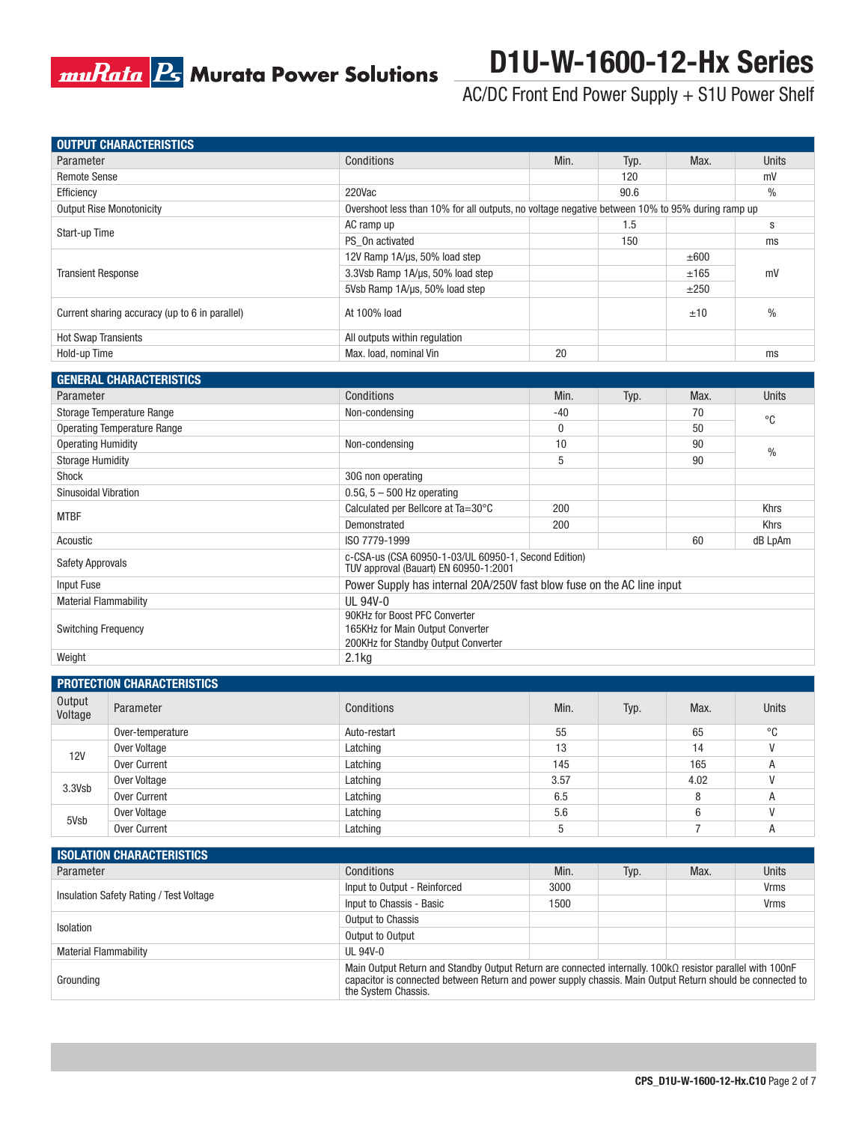# **muRata B** Murata Power Solutions

# **D1U-W-1600-12-Hx Series**

AC/DC Front End Power Supply + S1U Power Shelf

|                            | <b>OUTPUT CHARACTERISTICS</b>                  |                                                                                                                                                                                                                                               |             |      |                |              |
|----------------------------|------------------------------------------------|-----------------------------------------------------------------------------------------------------------------------------------------------------------------------------------------------------------------------------------------------|-------------|------|----------------|--------------|
| Parameter                  |                                                | Conditions                                                                                                                                                                                                                                    | Min.        | Typ. | Max.           | Units        |
| <b>Remote Sense</b>        |                                                |                                                                                                                                                                                                                                               |             | 120  |                | mV           |
| Efficiency                 |                                                | 220Vac                                                                                                                                                                                                                                        |             | 90.6 |                | $\%$         |
|                            | <b>Output Rise Monotonicity</b>                | Overshoot less than 10% for all outputs, no voltage negative between 10% to 95% during ramp up                                                                                                                                                |             |      |                |              |
|                            |                                                | AC ramp up                                                                                                                                                                                                                                    |             | 1.5  |                | s            |
| Start-up Time              |                                                | PS_On activated                                                                                                                                                                                                                               |             | 150  |                | ms           |
|                            |                                                | 12V Ramp 1A/µs, 50% load step                                                                                                                                                                                                                 |             |      | ±600           |              |
| <b>Transient Response</b>  |                                                | 3.3Vsb Ramp 1A/µs, 50% load step                                                                                                                                                                                                              |             |      | ±165           | mV           |
|                            |                                                | 5Vsb Ramp 1A/µs, 50% load step                                                                                                                                                                                                                |             |      | ±250           |              |
|                            | Current sharing accuracy (up to 6 in parallel) | At 100% load                                                                                                                                                                                                                                  |             |      | ±10            | $\%$         |
| <b>Hot Swap Transients</b> |                                                | All outputs within regulation                                                                                                                                                                                                                 |             |      |                |              |
| Hold-up Time               |                                                | Max. load, nominal Vin                                                                                                                                                                                                                        | 20          |      |                | ms           |
|                            |                                                |                                                                                                                                                                                                                                               |             |      |                |              |
|                            | <b>GENERAL CHARACTERISTICS</b>                 |                                                                                                                                                                                                                                               |             |      |                |              |
| Parameter                  |                                                | Conditions                                                                                                                                                                                                                                    | Min.        | Typ. | Max.           | Units        |
|                            | Storage Temperature Range                      | Non-condensing                                                                                                                                                                                                                                | -40         |      | 70             | $^{\circ}C$  |
|                            | <b>Operating Temperature Range</b>             |                                                                                                                                                                                                                                               | $\mathbf 0$ |      | 50             |              |
| <b>Operating Humidity</b>  |                                                | Non-condensing                                                                                                                                                                                                                                | 10          |      | 90             |              |
| <b>Storage Humidity</b>    |                                                |                                                                                                                                                                                                                                               | 5           |      | 90             | $\%$         |
| Shock                      |                                                | 30G non operating                                                                                                                                                                                                                             |             |      |                |              |
| Sinusoidal Vibration       |                                                | $0.5G$ , $5 - 500$ Hz operating                                                                                                                                                                                                               |             |      |                |              |
|                            |                                                | Calculated per Bellcore at Ta=30°C                                                                                                                                                                                                            | 200         |      |                | Khrs         |
| <b>MTBF</b>                |                                                | Demonstrated                                                                                                                                                                                                                                  | 200         |      |                | Khrs         |
| Acoustic                   |                                                | ISO 7779-1999                                                                                                                                                                                                                                 |             |      | 60             | dB LpAm      |
|                            |                                                | c-CSA-us (CSA 60950-1-03/UL 60950-1, Second Edition)                                                                                                                                                                                          |             |      |                |              |
| <b>Safety Approvals</b>    |                                                | TUV approval (Bauart) EN 60950-1:2001                                                                                                                                                                                                         |             |      |                |              |
| Input Fuse                 |                                                | Power Supply has internal 20A/250V fast blow fuse on the AC line input                                                                                                                                                                        |             |      |                |              |
|                            | <b>Material Flammability</b>                   | UL 94V-0                                                                                                                                                                                                                                      |             |      |                |              |
|                            |                                                | 90KHz for Boost PFC Converter                                                                                                                                                                                                                 |             |      |                |              |
| <b>Switching Frequency</b> |                                                | 165KHz for Main Output Converter<br>200KHz for Standby Output Converter                                                                                                                                                                       |             |      |                |              |
| Weight                     |                                                | 2.1kg                                                                                                                                                                                                                                         |             |      |                |              |
|                            |                                                |                                                                                                                                                                                                                                               |             |      |                |              |
|                            | PROTECTION CHARACTERISTICS                     |                                                                                                                                                                                                                                               |             |      |                |              |
| Output<br>Voltage          | Parameter                                      | Conditions                                                                                                                                                                                                                                    | Min.        | Typ. | Max.           | Units        |
|                            | Over-temperature                               | Auto-restart                                                                                                                                                                                                                                  | 55          |      | 65             | °C           |
| <b>12V</b>                 | Over Voltage                                   | Latching                                                                                                                                                                                                                                      | 13          |      | 14             | $\mathsf{V}$ |
|                            | <b>Over Current</b>                            | Latching                                                                                                                                                                                                                                      | 145         |      | 165            | A            |
| 3.3Vsb                     | Over Voltage                                   | Latching                                                                                                                                                                                                                                      | 3.57        |      | 4.02           | V            |
|                            | Over Current                                   | Latching                                                                                                                                                                                                                                      | 6.5         |      | 8              | Α            |
| 5Vsb                       | Over Voltage                                   | Latching                                                                                                                                                                                                                                      | 5.6         |      | 6              | $\mathsf{V}$ |
|                            | Over Current                                   | Latching                                                                                                                                                                                                                                      | 5           |      | $\overline{7}$ | Α            |
|                            |                                                |                                                                                                                                                                                                                                               |             |      |                |              |
| Parameter                  | <b>ISOLATION CHARACTERISTICS</b>               |                                                                                                                                                                                                                                               |             |      |                |              |
|                            |                                                | Conditions                                                                                                                                                                                                                                    | Min.        | Typ. | Max.           | Units        |
|                            | Insulation Safety Rating / Test Voltage        | Input to Output - Reinforced                                                                                                                                                                                                                  | 3000        |      |                | Vrms         |
|                            |                                                | Input to Chassis - Basic                                                                                                                                                                                                                      | 1500        |      |                | Vrms         |
| Isolation                  |                                                | Output to Chassis                                                                                                                                                                                                                             |             |      |                |              |
|                            |                                                | Output to Output                                                                                                                                                                                                                              |             |      |                |              |
|                            | <b>Material Flammability</b>                   | <b>UL 94V-0</b>                                                                                                                                                                                                                               |             |      |                |              |
| Grounding                  |                                                | Main Output Return and Standby Output Return are connected internally. 100kΩ resistor parallel with 100nF<br>capacitor is connected between Return and power supply chassis. Main Output Return should be connected to<br>the System Chassis. |             |      |                |              |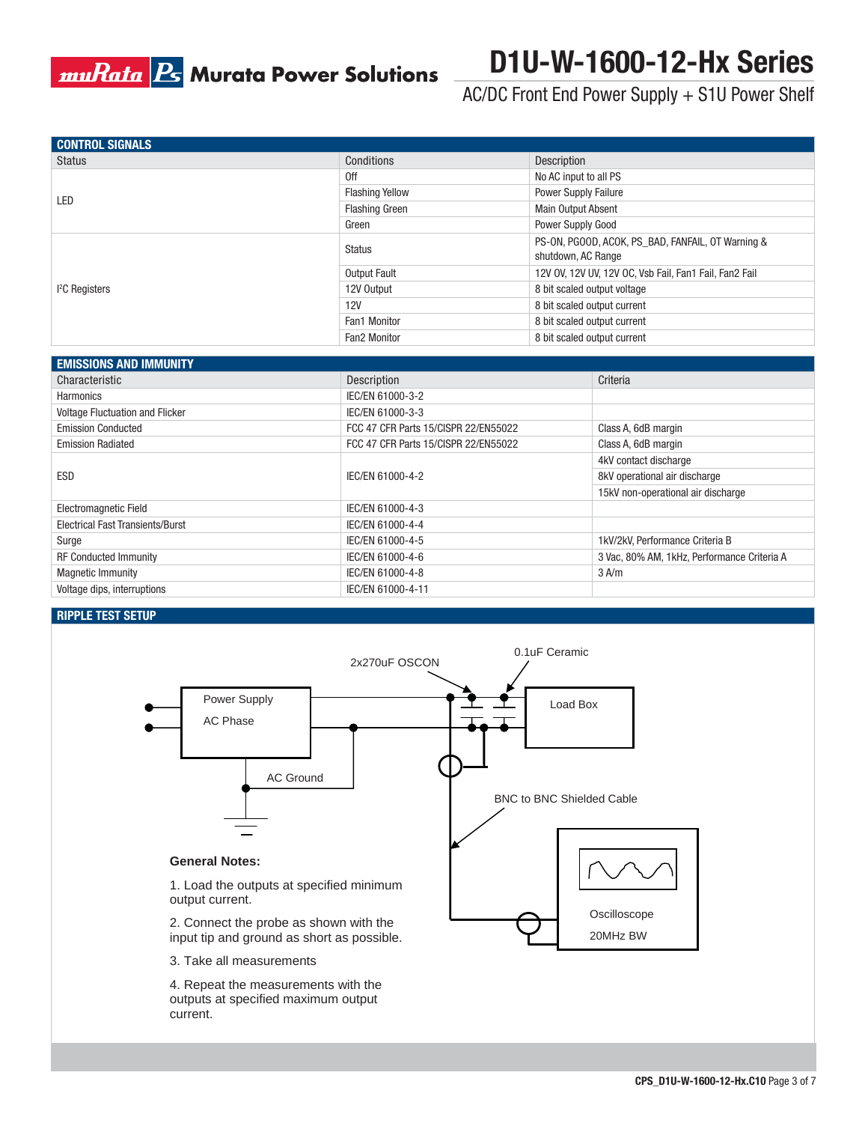

# **D1U-W-1600-12-Hx Series**

AC/DC Front End Power Supply + S1U Power Shelf

| <b>CONTROL SIGNALS</b>   |                        |                                                                         |
|--------------------------|------------------------|-------------------------------------------------------------------------|
| Status                   | Conditions             | Description                                                             |
|                          | 0ff                    | No AC input to all PS                                                   |
| LED                      | <b>Flashing Yellow</b> | <b>Power Supply Failure</b>                                             |
|                          | <b>Flashing Green</b>  | <b>Main Output Absent</b>                                               |
|                          | Green                  | Power Supply Good                                                       |
|                          | Status                 | PS-ON, PGOOD, ACOK, PS BAD, FANFAIL, OT Warning &<br>shutdown, AC Range |
|                          | Output Fault           | 12V OV, 12V UV, 12V OC, Vsb Fail, Fan1 Fail, Fan2 Fail                  |
| <sup>2</sup> C Registers | 12V Output             | 8 bit scaled output voltage                                             |
|                          | 12V                    | 8 bit scaled output current                                             |
|                          | Fan1 Monitor           | 8 bit scaled output current                                             |
|                          | Fan2 Monitor           | 8 bit scaled output current                                             |
| EMICCIONIC AND IMMIINITV |                        |                                                                         |

| <b>EMISSIONS AND IMMUNITY</b>           |                                      |                                             |
|-----------------------------------------|--------------------------------------|---------------------------------------------|
| Characteristic                          | Description                          | Criteria                                    |
| Harmonics                               | IEC/EN 61000-3-2                     |                                             |
| <b>Voltage Fluctuation and Flicker</b>  | IEC/EN 61000-3-3                     |                                             |
| <b>Emission Conducted</b>               | FCC 47 CFR Parts 15/CISPR 22/EN55022 | Class A, 6dB margin                         |
| <b>Emission Radiated</b>                | FCC 47 CFR Parts 15/CISPR 22/EN55022 | Class A, 6dB margin                         |
|                                         |                                      | 4kV contact discharge                       |
| <b>ESD</b>                              | IEC/EN 61000-4-2                     | 8kV operational air discharge               |
|                                         |                                      | 15kV non-operational air discharge          |
| <b>Electromagnetic Field</b>            | IEC/EN 61000-4-3                     |                                             |
| <b>Electrical Fast Transients/Burst</b> | IEC/EN 61000-4-4                     |                                             |
| Surge                                   | IEC/EN 61000-4-5                     | 1kV/2kV, Performance Criteria B             |
| <b>RF Conducted Immunity</b>            | IEC/EN 61000-4-6                     | 3 Vac, 80% AM, 1kHz, Performance Criteria A |
| <b>Magnetic Immunity</b>                | IEC/EN 61000-4-8                     | $3$ A/m                                     |
| Voltage dips, interruptions             | IEC/EN 61000-4-11                    |                                             |

### **RIPPLE TEST SETUP**



output current.

2. Connect the probe as shown with the input tip and ground as short as possible.

3. Take all measurements

4. Repeat the measurements with the outputs at specified maximum output current.

Oscilloscope 20MHz BW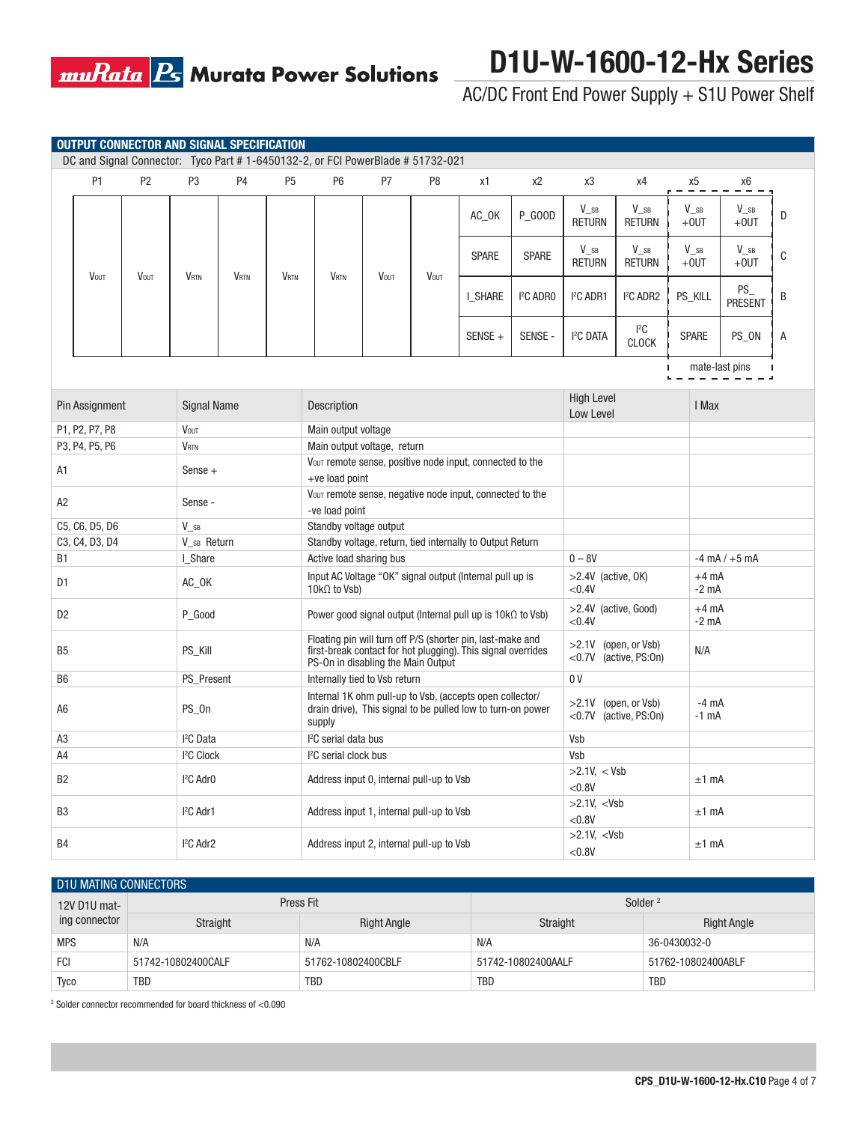

AC/DC Front End Power Supply + S1U Power Shelf

|                |                | <b>OUTPUT CONNECTOR AND SIGNAL SPECIFICATION</b> |                                 |                |                |                                                                                   |      |                |                                                                                                                            |                     |                                             |                                            |        |                                      |                         |   |
|----------------|----------------|--------------------------------------------------|---------------------------------|----------------|----------------|-----------------------------------------------------------------------------------|------|----------------|----------------------------------------------------------------------------------------------------------------------------|---------------------|---------------------------------------------|--------------------------------------------|--------|--------------------------------------|-------------------------|---|
|                |                |                                                  |                                 |                |                | DC and Signal Connector: Tyco Part #1-6450132-2, or FCI PowerBlade #51732-021     |      |                |                                                                                                                            |                     |                                             |                                            |        |                                      |                         |   |
|                | P <sub>1</sub> | P <sub>2</sub>                                   | P3                              | P <sub>4</sub> | P <sub>5</sub> | P <sub>6</sub>                                                                    | P7   | P <sub>8</sub> | x1                                                                                                                         | x <sub>2</sub>      | x3                                          | x4                                         |        | х5                                   | x6                      |   |
|                |                |                                                  |                                 |                |                |                                                                                   |      |                | AC_OK                                                                                                                      | <b>P GOOD</b>       | $V_{\_\,SB}$<br><b>RETURN</b>               | V sB<br><b>RETURN</b>                      |        | $\mathsf{V}_\_\mathsf{SB}$<br>$+0UT$ | $V_{SB}$<br>$+0$ UT     | D |
|                | <b>VOUT</b>    | <b>VOUT</b>                                      | <b>VRTN</b>                     | <b>VRTN</b>    | <b>VRTN</b>    | <b>VRTN</b>                                                                       | VOUT | <b>VOUT</b>    | <b>SPARE</b>                                                                                                               | <b>SPARE</b>        | $\mathsf{V}_\_\mathsf{SB}$<br><b>RETURN</b> | $V_{\_\,SB}$<br><b>RETURN</b>              |        | $V_{SB}$<br>$+0$ UT                  | $V_{\_\,SB}$<br>$+0$ UT | C |
|                |                |                                                  |                                 |                |                |                                                                                   |      |                | I SHARE                                                                                                                    | <sup>2</sup> C ADRO | <sup>2</sup> C ADR1                         | <sup>2</sup> C ADR2                        |        | PS_KILL                              | PS_<br><b>PRESENT</b>   | B |
|                |                |                                                  |                                 |                |                |                                                                                   |      |                | $SENSE +$                                                                                                                  | SENSE -             | <sup>2</sup> C DATA                         | ${}^{12}C$<br><b>CLOCK</b>                 |        | <b>SPARE</b>                         | PS_ON                   | Α |
|                |                |                                                  |                                 |                |                |                                                                                   |      |                |                                                                                                                            |                     |                                             |                                            | ı<br>ч |                                      | mate-last pins          |   |
|                | Pin Assignment |                                                  | <b>Signal Name</b>              |                |                | Description                                                                       |      |                |                                                                                                                            |                     | <b>High Level</b><br>Low Level              |                                            |        | I Max                                |                         |   |
|                | P1, P2, P7, P8 |                                                  | <b>VOUT</b>                     |                |                | Main output voltage                                                               |      |                |                                                                                                                            |                     |                                             |                                            |        |                                      |                         |   |
|                | P3, P4, P5, P6 |                                                  | <b>VRTN</b>                     |                |                | Main output voltage, return                                                       |      |                |                                                                                                                            |                     |                                             |                                            |        |                                      |                         |   |
| A1             |                |                                                  | Sense $+$                       |                |                | $+ve$ load point                                                                  |      |                | Vout remote sense, positive node input, connected to the                                                                   |                     |                                             |                                            |        |                                      |                         |   |
| A <sub>2</sub> |                |                                                  | Sense -                         |                |                | Vout remote sense, negative node input, connected to the<br>-ve load point        |      |                |                                                                                                                            |                     |                                             |                                            |        |                                      |                         |   |
|                | C5, C6, D5, D6 |                                                  | $V_{SB}$                        |                |                | Standby voltage output                                                            |      |                |                                                                                                                            |                     |                                             |                                            |        |                                      |                         |   |
|                | C3, C4, D3, D4 |                                                  | V SB Return                     |                |                |                                                                                   |      |                | Standby voltage, return, tied internally to Output Return                                                                  |                     |                                             |                                            |        |                                      |                         |   |
| <b>B1</b>      |                |                                                  | I_Share                         |                |                | Active load sharing bus                                                           |      |                |                                                                                                                            |                     | $0 - 8V$                                    |                                            |        |                                      | $-4$ mA $/ +5$ mA       |   |
| D <sub>1</sub> |                |                                                  | AC_OK                           |                |                | $10k\Omega$ to Vsb)                                                               |      |                | Input AC Voltage "OK" signal output (Internal pull up is                                                                   |                     | $>2.4V$ (active, OK)<br>< 0.4V              |                                            |        | $+4$ mA<br>$-2$ mA                   |                         |   |
| D <sub>2</sub> |                |                                                  | P_Good                          |                |                |                                                                                   |      |                | Power good signal output (Internal pull up is $10k\Omega$ to Vsb)                                                          |                     | $>2.4V$ (active, Good)<br>< 0.4V            |                                            |        | $+4$ mA<br>$-2$ mA                   |                         |   |
| B <sub>5</sub> |                |                                                  | PS_Kill                         |                |                | PS-On in disabling the Main Output                                                |      |                | Floating pin will turn off P/S (shorter pin, last-make and<br>first-break contact for hot plugging). This signal overrides |                     | >2.1V<br>$<$ 0.7V                           | (open, or Vsb)<br>(active, PS:0n)          |        | N/A                                  |                         |   |
| B <sub>6</sub> |                |                                                  | PS Present                      |                |                | Internally tied to Vsb return                                                     |      |                |                                                                                                                            |                     | 0 <sup>V</sup>                              |                                            |        |                                      |                         |   |
| A6             |                |                                                  | PS_0n                           |                |                | supply                                                                            |      |                | Internal 1K ohm pull-up to Vsb, (accepts open collector/<br>drain drive). This signal to be pulled low to turn-on power    |                     | >2.1V                                       | (open, or Vsb)<br>$<$ 0.7V (active, PS:0n) |        | $-4 \text{ mA}$<br>$-1$ mA           |                         |   |
| A <sub>3</sub> |                |                                                  | <sup>2</sup> C Data             |                |                | <sup>2</sup> C serial data bus                                                    |      |                |                                                                                                                            |                     | Vsb                                         |                                            |        |                                      |                         |   |
| A4             |                |                                                  | <sup>2</sup> C Clock            |                |                | <sup>2</sup> C serial clock bus                                                   |      |                |                                                                                                                            |                     | Vsb                                         |                                            |        |                                      |                         |   |
| B <sub>2</sub> |                |                                                  | <sup>2</sup> C Adr <sub>0</sub> |                |                | $>2.1V$ , < Vsb<br>Address input 0, internal pull-up to Vsb<br>< 0.8V             |      |                |                                                                                                                            | $±1$ mA             |                                             |                                            |        |                                      |                         |   |
| B <sub>3</sub> |                |                                                  | <sup>2</sup> C Adr1             |                |                | Address input 1, internal pull-up to Vsb                                          |      |                |                                                                                                                            |                     | $>2.1V$ , <vsb<br>&lt; 0.8V</vsb<br>        |                                            |        | $±1$ mA                              |                         |   |
| <b>B4</b>      |                |                                                  | <sup>2</sup> C Adr <sub>2</sub> |                |                | $>2.1V$ , <vsb<br>Address input 2, internal pull-up to Vsb<br/>&lt; 0.8V</vsb<br> |      |                | $±1$ mA                                                                                                                    |                     |                                             |                                            |        |                                      |                         |   |

### D111 MATING CONNECTORS

| <b>PIU MAHNU UUNNEUTUI U</b> |                    |                    |                     |                    |  |  |  |
|------------------------------|--------------------|--------------------|---------------------|--------------------|--|--|--|
| 12V D1U mat-                 |                    | Press Fit          | Solder <sup>2</sup> |                    |  |  |  |
| ing connector                | Straight           | <b>Right Angle</b> | Straight            | <b>Right Angle</b> |  |  |  |
| <b>MPS</b>                   | N/A                | N/A                | N/A                 | 36-0430032-0       |  |  |  |
| FCI                          | 51742-10802400CALF | 51762-10802400CBLF | 51742-10802400AALF  | 51762-10802400ABLF |  |  |  |
| Tyco                         | TBD                | TBD                | <b>TBD</b>          | TBD                |  |  |  |

2 Solder connector recommended for board thickness of <0.090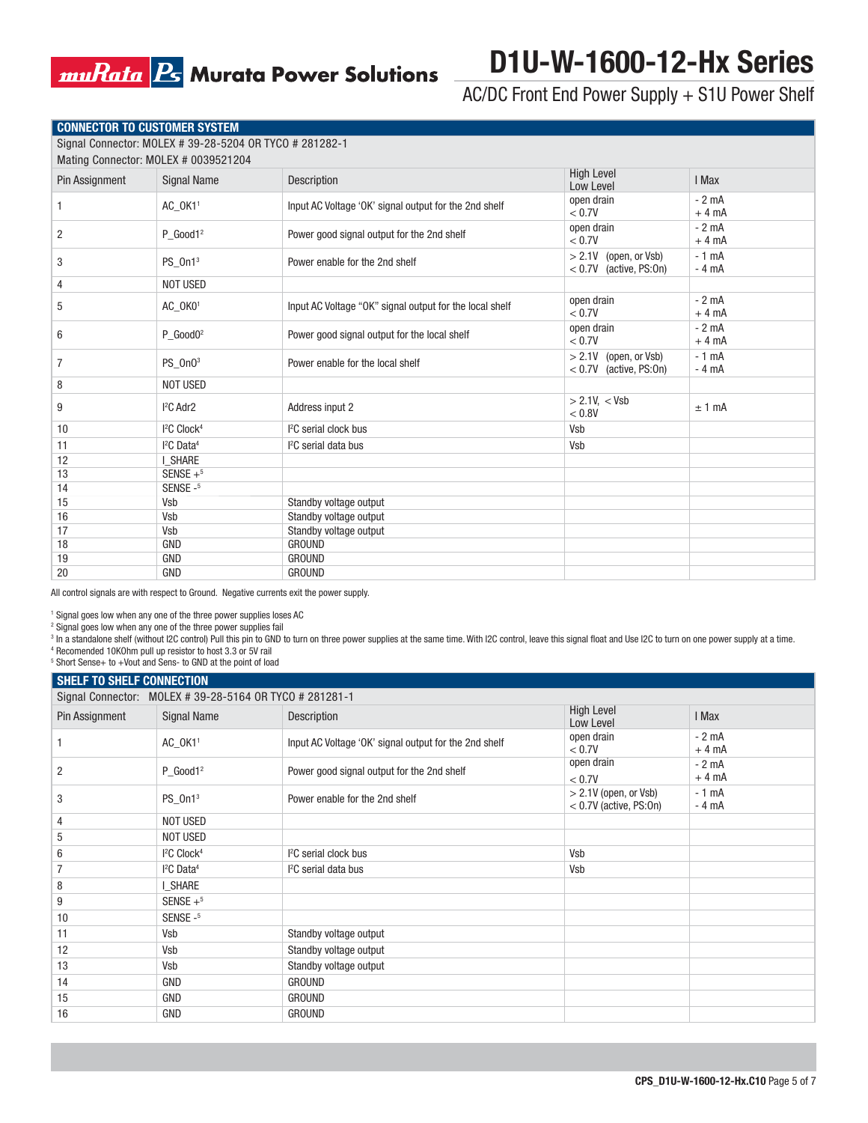## **muRata B** Murata Power Solutions

# **D1U-W-1600-12-Hx Series**

AC/DC Front End Power Supply + S1U Power Shelf

| CONNECTOR TO CUSTOMER SYSTEM |  |
|------------------------------|--|
|------------------------------|--|

Signal Connector: MOLEX # 39-28-5204 OR TYCO # 281282-1

|                | Mating Connector: MOLEX # 0039521204 |                                                         |                                                      |                   |
|----------------|--------------------------------------|---------------------------------------------------------|------------------------------------------------------|-------------------|
| Pin Assignment | <b>Signal Name</b>                   | Description                                             | <b>High Level</b><br>Low Level                       | I Max             |
|                | AC_OK11                              | Input AC Voltage 'OK' signal output for the 2nd shelf   | open drain<br>< 0.7V                                 | $-2$ mA<br>$+4mA$ |
| 2              | $P_Good1^2$                          | Power good signal output for the 2nd shelf              | open drain<br>< 0.7V                                 | $-2$ mA<br>$+4mA$ |
| 3              | PS_0n1 <sup>3</sup>                  | Power enable for the 2nd shelf                          | $> 2.1V$ (open, or Vsb)<br>$< 0.7V$ (active, PS:0n)  | $-1$ mA<br>$-4mA$ |
| 4              | NOT USED                             |                                                         |                                                      |                   |
| 5              | AC_OK01                              | Input AC Voltage "OK" signal output for the local shelf | open drain<br>< 0.7V                                 | $-2$ mA<br>$+4mA$ |
| 6              | $P$ Good0 <sup>2</sup>               | Power good signal output for the local shelf            | open drain<br>< 0.7V                                 | $-2mA$<br>$+4mA$  |
| 7              | PS_0n03                              | Power enable for the local shelf                        | > 2.1V<br>(open, or Vsb)<br>$< 0.7V$ (active, PS:0n) | $-1$ mA<br>$-4mA$ |
| 8              | <b>NOT USED</b>                      |                                                         |                                                      |                   |
| 9              | <sup>2</sup> C Adr2                  | Address input 2                                         | > 2.1V, < Vsb<br>< 0.8V                              | $±1$ mA           |
| 10             | <sup>2</sup> C Clock <sup>4</sup>    | <sup>2</sup> C serial clock bus                         | Vsb                                                  |                   |
| 11             | <sup>2</sup> C Data <sup>4</sup>     | <sup>2</sup> C serial data bus                          | Vsb                                                  |                   |
| 12             | I SHARE                              |                                                         |                                                      |                   |
| 13             | SENSE $+$ <sup>5</sup>               |                                                         |                                                      |                   |
| 14             | SENSE-5                              |                                                         |                                                      |                   |
| 15             | Vsb                                  | Standby voltage output                                  |                                                      |                   |
| 16             | Vsb                                  | Standby voltage output                                  |                                                      |                   |
| 17             | Vsb                                  | Standby voltage output                                  |                                                      |                   |
| 18             | <b>GND</b>                           | <b>GROUND</b>                                           |                                                      |                   |
| 19             | <b>GND</b>                           | <b>GROUND</b>                                           |                                                      |                   |
| 20             | <b>GND</b>                           | <b>GROUND</b>                                           |                                                      |                   |

All control signals are with respect to Ground. Negative currents exit the power supply.

1 Signal goes low when any one of the three power supplies loses AC

2 Signal goes low when any one of the three power supplies fail

 $^{\rm 3}$  In a standalone shelf (without I2C control) Pull this pin to GND to turn on three power supplies at the same time. With I2C control, leave this signal float and Use I2C to turn on one power supply at a time.

4 Recomended 10KOhm pull up resistor to host 3.3 or 5V rail

5 Short Sense+ to +Vout and Sens- to GND at the point of load

| <b>SHELF TO SHELF CONNECTION</b> |                                                         |                                                       |                                                     |                   |
|----------------------------------|---------------------------------------------------------|-------------------------------------------------------|-----------------------------------------------------|-------------------|
|                                  | Signal Connector: MOLEX # 39-28-5164 OR TYCO # 281281-1 |                                                       |                                                     |                   |
| Pin Assignment                   | <b>Signal Name</b>                                      | Description                                           | <b>High Level</b><br>Low Level                      | I Max             |
|                                  | AC_OK11                                                 | Input AC Voltage 'OK' signal output for the 2nd shelf | open drain<br>< 0.7V                                | $-2mA$<br>$+4mA$  |
| 2                                | $P$ Good1 <sup>2</sup>                                  | Power good signal output for the 2nd shelf            | open drain<br>< 0.7V                                | $-2mA$<br>$+4mA$  |
| 3                                | PS_0n1 <sup>3</sup>                                     | Power enable for the 2nd shelf                        | $> 2.1V$ (open, or Vsb)<br>$< 0.7V$ (active, PS:0n) | $-1$ mA<br>$-4mA$ |
| 4                                | NOT USED                                                |                                                       |                                                     |                   |
| 5                                | <b>NOT USED</b>                                         |                                                       |                                                     |                   |
| 6                                | <sup>2</sup> C Clock <sup>4</sup>                       | <sup>2</sup> C serial clock bus                       | Vsb                                                 |                   |
| 7                                | $I2C$ Data <sup>4</sup>                                 | <sup>2</sup> C serial data bus                        | Vsb                                                 |                   |
| 8                                | I SHARE                                                 |                                                       |                                                     |                   |
| 9                                | SENSE $+$ <sup>5</sup>                                  |                                                       |                                                     |                   |
| 10                               | SENSE-5                                                 |                                                       |                                                     |                   |
| 11                               | Vsb                                                     | Standby voltage output                                |                                                     |                   |
| 12                               | Vsb                                                     | Standby voltage output                                |                                                     |                   |
| 13                               | Vsb                                                     | Standby voltage output                                |                                                     |                   |
| 14                               | GND                                                     | <b>GROUND</b>                                         |                                                     |                   |
| 15                               | GND                                                     | <b>GROUND</b>                                         |                                                     |                   |
| 16                               | <b>GND</b>                                              | <b>GROUND</b>                                         |                                                     |                   |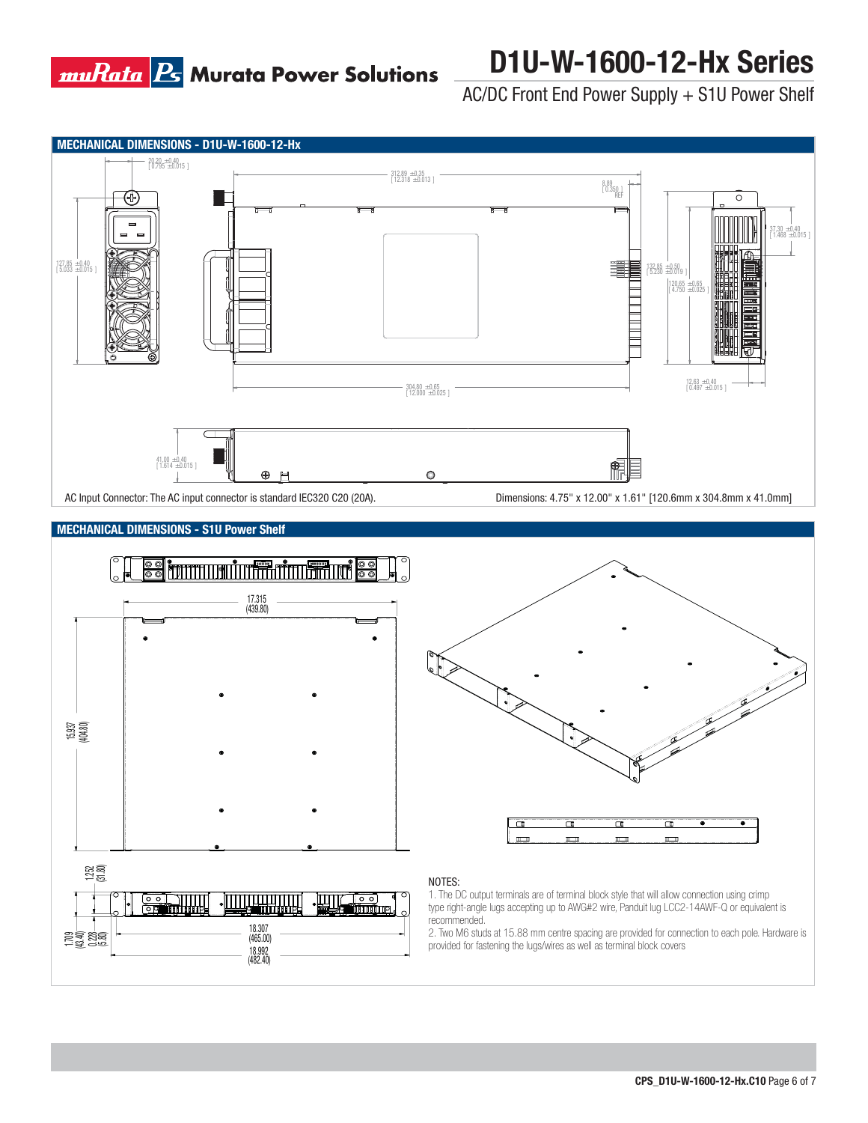

# **D1U-W-1600-12-Hx Series**

AC/DC Front End Power Supply + S1U Power Shelf







### NOTES:

1. The DC output terminals are of terminal block style that will allow connection using crimp type right-angle lugs accepting up to AWG#2 wire, Panduit lug LCC2-14AWF-Q or equivalent is recommended.

2. Two M6 studs at 15.88 mm centre spacing are provided for connection to each pole. Hardware is provided for fastening the lugs/wires as well as terminal block covers